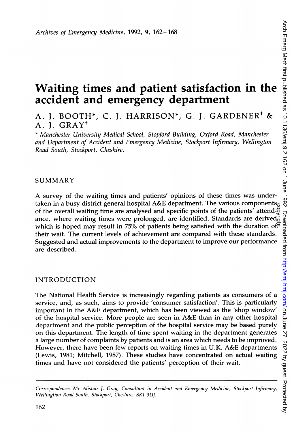# Waiting times and patient satisfaction in the accident and emergency department

A. J. BOOTH\*, C. J. HARRISON\*, G. J. GARDENER<sup>†</sup> & A. J. GRAYt

\* Manchester University Medical School, Stopford Building, Oxford Road, Manchester and Department of Accident and Emergency Medicine, Stockport Infirmary, Wellington Road South, Stockport, Cheshire.

## SUMMARY

A survey of the waiting times and patients' opinions of these times was undertaken in a busy district general hospital A&E department. The various components<sub>o</sub> Figure 1 In a busy unstitute general hospital A&E department. The various components of the overall waiting time are analysed and specific points of the patients' attend-<br>ance, where waiting times were prolonged, are iden ance, where waiting times were prolonged, are identified. Standards are derived $\vec{\epsilon}$ which is hoped may result in 75% of patients being satisfied with the duration of  $\vec{r}$ their wait. The current levels of achievement are compared with these standards. Suggested and actual improvements to the department to improve our performance are described.

## INTRODUCTION

The National Health Service is increasingly regarding patients as consumers of a service, and, as such, aims to provide 'consumer satisfaction'. This is particularly important in the A&E department, which has been viewed as the 'shop window' of the hospital service. More people are seen in A&E than in any other hospital department and the public perception of the hospital service may be based purely on this department. The length of time spent waiting in the department generates a large number of complaints by patients and is an area which needs to be improved. However, there have been few reports on waiting times in U.K. A&E departments (Lewis, 1981; Mitchell, 1987). These studies have concentrated on actual waiting times and have not considered the patients' perception of their wait.

Correspondence: Mr Alistair J. Gray, Consuiltant in Accident and Emergency Medicine, Stockport Infirnary, Wellingtion Road South, Stockport, Cheshire, SK1 3UJ.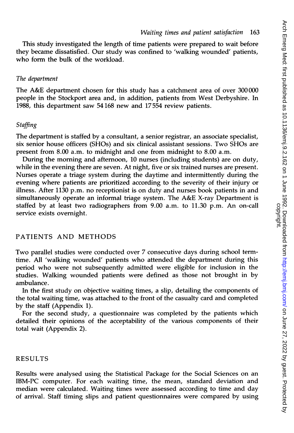This study investigated the length of time patients were prepared to wait before they became dissatisfied. Our study was confined to 'walking wounded' patients, who form the bulk of the workload.

#### The department

The A&E department chosen for this study has <sup>a</sup> catchment area of over <sup>300</sup> 000 people in the Stockport area and, in addition, patients from West Derbyshire. In 1988, this department saw 54168 new and 17554 review patients.

## Staffing

The department is staffed by a consultant, a senior registrar, an associate specialist, six senior house officers (SHOs) and six clinical assistant sessions. Two SHOs are present from 8.00 a.m. to midnight and one from midnight to 8.00 a.m.

During the morning and afternoon, 10 nurses (including students) are on duty, while in the evening there are seven. At night, five or six trained nurses are present. Nurses operate a triage system during the daytime and intermittently during the evening where patients are prioritized according to the severity of their injury or illness. After 1130 p.m. no receptionist is on duty and nurses book patients in and simultaneously operate an informal triage system. The A&E X-ray Department is staffed by at least two radiographers from 9.00 a.m. to 11.30 p.m. An on-call service exists overnight.

## PATIENTS AND METHODS

Two parallel studies were conducted over 7 consecutive days during school termtime. All 'walking wounded' patients who attended the department during this period who were not subsequently admitted were eligible for inclusion in the studies. Walking wounded patients were defined as those not brought in by ambulance.

In the first study on objective waiting times, a slip, detailing the components of the total waiting time, was attached to the front of the casualty card and completed by the staff (Appendix 1).

For the second study, a questionnaire was completed by the patients which detailed their opinions of the acceptability of the various components of their total wait (Appendix 2).

## RESULTS

Results were analysed using the Statistical Package for the Social Sciences on an IBM-PC computer. For each waiting time, the mean, standard deviation and median were calculated. Waiting times were assessed according to time and day of arrival. Staff timing slips and patient questionnaires were compared by using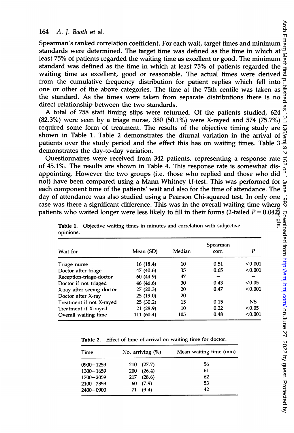## 164 A. J. Booth et al.

Spearman's ranked correlation coefficient. For each wait, target times and minimum standards were determined. The target time was defined as the time in which at  $\frac{d}{dx}$ least 75% of patients regarded the waiting time as excellent or good. The minimum standard was defined as the time in which at least 75% of patients regarded the waiting time as excellent, good or reasonable. The actual times were derived  $\frac{a}{r}$ from the cumulative frequency distribution for patient replies which fell into  $\Xi$ one or other of the above categories. The time at the 75.th centile was taken as the standard. As the times were taken from separate distributions there is no direct relationship between the two standards.

A total of <sup>758</sup> staff timing slips were returned. Of the patients studied, <sup>624</sup>  $(82.3%)$  were seen by a triage nurse, 380  $(50.1%)$  were X-rayed and 574  $(75.7%)$ required some form of treatment. The results of the objective timing study are shown in Table 1. Table 2 demonstrates the diurnal variation in the arrival of patients over the study period and the effect this has on waiting times. Table 3 demonstrates the day-to-day variation.

Questionnaires were received from 342 patients, representing a response rate of 45.1%. The results are shown in Table 4. This response rate is somewhat disappointing. However the two groups (i.e. those who replied and those who did not) have been compared using a Mann Whitney *U*-test. This was performed for  $\epsilon$  each component time of the patients' wait and also for the time of attendance. The  $\frac{5}{6}$ each component time of the patients' wait and also for the time of attendance. The day of attendance was also studied using a Pearson Chi-squared test. In only one case was there a significant difference. This was in the overall waiting time where patients who waited longer were less likely to fill in their forms (2-tailed  $P$  = 0.04 $\bar{\mathfrak{B}}$ as there a significant difference. This was in the overall waiting time where<br>s who waited longer were less likely to fill in their forms (2-tailed  $P = 0.042$ <br>Table 1. Objective waiting times in minutes and correlation wi

| Wait for                  | Mean (SD)  | Median | Spearman<br>corr. | P       |
|---------------------------|------------|--------|-------------------|---------|
| Triage nurse              | 16 (18.4)  | 10     | 0.51              | < 0.001 |
| Doctor after triage       | 47 (40.6)  | 35     | 0.65              | < 0.001 |
| Reception-triage-doctor   | 60 (44.9)  | 47     |                   |         |
| Doctor if not triaged     | 46 (46.6)  | 30     | 0.43              | < 0.05  |
| X-ray after seeing doctor | 27(20.3)   | 20     | 0.47              | < 0.001 |
| Doctor after X-ray        | 25(19.0)   | 20     |                   |         |
| Treatment if not X-rayed  | 25(30.2)   | 15     | 0.15              | NS      |
| Treatment if X-rayed      | 21 (28.9)  | 10     | 0.22              | < 0.05  |
| Overall waiting time      | 111 (60.4) | 105    | 0.48              | < 0.001 |

|           |  |  |  | Table 1. Objective waiting times in minutes and correlation with subjective |  |
|-----------|--|--|--|-----------------------------------------------------------------------------|--|
| opinions. |  |  |  |                                                                             |  |

Table 2. Effect of time of arrival on waiting time for doctor.

| Time          | No. arriving $(\%)$ | Mean waiting time (min) |
|---------------|---------------------|-------------------------|
| $0900 - 1259$ | 210(27.7)           | 56                      |
| $1300 - 1659$ | 200(26.4)           | 61                      |
| $1700 - 2059$ | 217 (28.6)          | 62                      |
| $2100 - 2359$ | 60(7.9)             | 53                      |
| $2400 - 0900$ | 71(9.4)             | 42                      |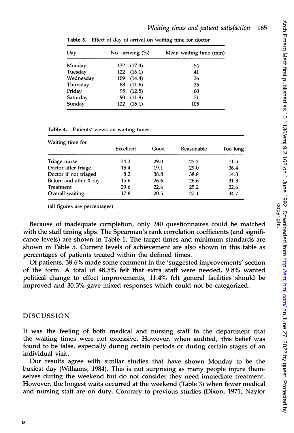| Day       |     | No. arriving $(\%)$ | Mean waiting time (min) |  |  |
|-----------|-----|---------------------|-------------------------|--|--|
| Monday    |     | 132 (17.4)          | 54                      |  |  |
| Tuesday   | 122 | (16.1)              | 41                      |  |  |
| Wednesday | 109 | (14.4)              | 36                      |  |  |
| Thursday  | 88  | (11.6)              | 35                      |  |  |
| Friday    | 95. | (12.5)              | 60                      |  |  |
| Saturday  | 90  | (11.9)              | 71                      |  |  |
| Sunday    | 122 | (16.1)              | 105                     |  |  |

Table 3. Effect of day of arrival on waiting time for doctor

| Table 4. Patients' views on waiting times. |  |  |  |  |  |  |  |
|--------------------------------------------|--|--|--|--|--|--|--|
|--------------------------------------------|--|--|--|--|--|--|--|

| Waiting time for       |           |      |            |          |  |
|------------------------|-----------|------|------------|----------|--|
|                        | Excellent | Good | Reasonable | Too long |  |
| Triage nurse           | 34.3      | 29.0 | 25.2       | 11.5     |  |
| Doctor after triage    | 15.4      | 19.1 | 29.0       | 36.4     |  |
| Doctor if not triaged  | 8.2       | 38.8 | 38.8       | 14.3     |  |
| Before and after X-ray | 15.6      | 26.6 | 26.6       | 31.3     |  |
| Treatment              | 29.6      | 22.6 | 25.2       | 22.6     |  |
| Overall waiting        | 17.8      | 20.5 | 27.1       | 34.7     |  |

(all figures are percentages)

Because of inadequate completion, only 240 questionnaires could be matched with the staff timing slips. The Spearman's rank correlation coefficients (and significance levels) are shown in Table 1. The target times and minimum standards are shown in Table 5. Current levels of achievement are also shown in this table as percentages of patients treated within the defined times.

Of patients, 38.6% made some comment in the 'suggested improvements' section of the form. A total of 48.5% felt that extra staff were needed, 9.8% wanted political change to effect improvements, 11.4% felt general facilities should be improved and 30.3% gave mixed responses which could not be categorized.

# DISCUSSION

It was the feeling of both medical and nursing staff in the department that the waiting times were not excessive. However, when audited, this belief was found to be false, especially during certain periods or during certain stages of an individual visit.

Our results agree with similar studies that have shown Monday to be the busiest day (Williams, 1984). This is not surprising as many people injure themselves during the weekend but do not consider they need immediate treatment. However, the longest waits occurred at the weekend (Table 3) when fewer medical and nursing staff are on duty. Contrary to previous studies (Dixon, 1971; Naylor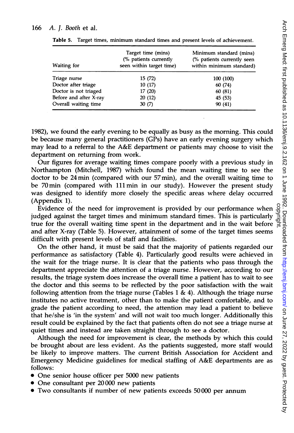### 166 A. J. Booth et al.

| Waiting for            | Target time (mins)<br>(% patients currently<br>seen within target time) | Minimum standard (mins)<br>(% patients currently seen<br>within minimum standard) |
|------------------------|-------------------------------------------------------------------------|-----------------------------------------------------------------------------------|
| Triage nurse           | 15 (72)                                                                 | 100 (100)                                                                         |
| Doctor after triage    | 10(17)                                                                  | 60 (74)                                                                           |
| Doctor is not triaged  | 17 (20)                                                                 | 60 (81)                                                                           |
| Before and after X-ray | 20(12)                                                                  | 45 (53)                                                                           |
| Overall waiting time   | 30(7)                                                                   | 90 (41)                                                                           |

Table 5. Target times, minimum standard times and present levels of achievement.

1982), we found the early evening to be equally as busy as the morning. This could be because many general practitioners (GPs) have an early evening surgery which may lead to <sup>a</sup> referral to the A&E department or patients may choose to visit the department on returning from work.

Our figures for average waiting times compare poorly with a previous study in Northampton (Mitchell, 1987) which found the mean waiting time to see the doctor to be 24 min (compared with our 57min), and the overall waiting time to be 70 min (compared with 111 min in our study). However the present study was designed to identify more closely the specific areas where delay occurred (Appendix 1).

Evidence of the need for improvement is provided by our performance when judged against the target times and minimum standard times. This is particularly true for the overall waiting time spent in the department and in the wait before and after X-ray (Table 5). However, attainment of some of the target times seems difficult with present levels of staff and facilities.

On the other hand, it must be said that the majority of patients regarded our performance as satisfactory (Table 4). Particularly good results were achieved in the wait for the triage nurse. It is clear that the patients who pass through the department appreciate the attention of a triage nurse. However, according to our results, the triage system does increase the overall time a patient has to wait to see the doctor and this seems to be reflected by the poor satisfaction with the wait following attention from the triage nurse (Tables 1 & 4). Although the triage nurse institutes no active treatment, other than to make the patient comfortable, and to grade the patient according to need, the attention may lead a patient to believe that he/she is 'in the system' and will not wait too much longer. Additionally this result could be explained by the fact that patients often do not see a triage nurse at quiet times and instead are taken straight through to see a doctor.

Although the need for improvement is clear, the methods by which this could be brought about are less evident. As the patients suggested, more staff would be likely to improve matters. The current British Association for Accident and Emergency Medicine guidelines for medical staffing of A&E departments are as follows:

- One senior house officer per 5000 new patients
- One consultant per 20000 new patients
- Two consultants if number of new patients exceeds 50000 per annum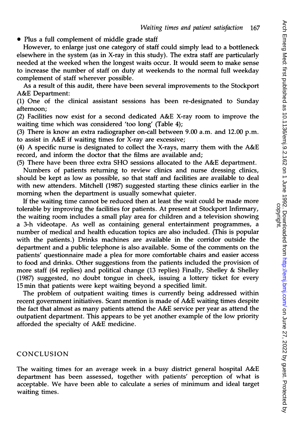0 Plus a full complement of middle grade staff

However, to enlarge just one category of staff could simply lead to a bottleneck elsewhere in the system (as in X-ray in this study). The extra staff are particularly needed at the weeked when the longest waits occur. It would seem to make sense to increase the number of staff on duty at weekends to the normal full weekday complement of staff wherever possible.

As a result of this audit, there have been several improvements to the Stockport A&E Department:

(1) One of the clinical assistant sessions has been re-designated to Sunday afternoon;

(2) Facilities now exist for <sup>a</sup> second dedicated A&E X-ray room to improve the waiting time which was considered 'too long' (Table 4);

(3) There is know an extra radiographer on-call between 9.00 a.m. and 12.00 p.m. to assist in A&E if waiting times for X-ray are excessive;

(4) A specific nurse is designated to collect the X-rays, marry them with the A&E record, and inform the doctor that the films are available and;

(5) There have been three extra SHO sessions allocated to the A&E department.

Numbers of patients returning to review clinics and nurse dressing clinics, should be kept as low as possible, so that staff and facilities are available to deal with new attenders. Mitchell (1987) suggested starting these clinics earlier in the morning when the department is usually somewhat quieter.

If the waiting time cannot be reduced then at least the wait could be made more tolerable by improving the facilities for patients. At present at Stockport Infirmary, the waiting room includes a small play area for children and a television showing a 3-h videotape. As well as containing general entertainment programmes, a number of medical and health education topics are also included. (This is popular with the patients.) Drinks machines are available in the corridor outside the department and a public telephone is also available. Some of the comments on the patients' questionnaire made a plea for more comfortable chairs and easier access to food and drinks. Other suggestions from the patients included the provision of more staff (64 replies) and political change (13 replies) Finally, Shelley & Shelley (1987) suggested, no doubt tongue in cheek, issuing a lottery ticket for every 15 min that patients were kept waiting beyond a specified limit.

The problem of outpatient waiting times is currently being addressed within recent government initiatives. Scant mention is made of A&E waiting times despite the fact that almost as many patients attend the A&E service per year as attend the outpatient department. This appears to be yet another example of the low priority afforded the specialty of A&E medicine.

## CONCLUSION

The waiting times for an average week in <sup>a</sup> busy district general hospital A&E department has been assessed, together with patients' perception of what is acceptable. We have been able to calculate <sup>a</sup> series of minimum and ideal target waiting times.